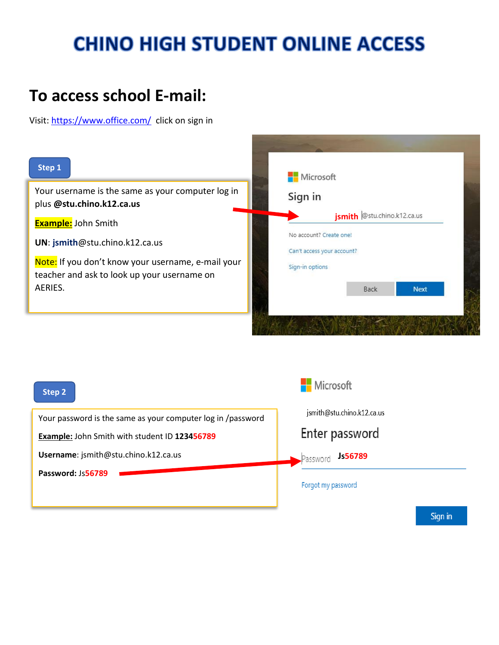# **CHINO HIGH STUDENT ONLINE ACCESS**

### **To access school E-mail:**

Visit:<https://www.office.com/> click on sign in



| Step 2                                                      | Microsoft                  |
|-------------------------------------------------------------|----------------------------|
| Your password is the same as your computer log in /password | jsmith@stu.chino.k12.ca.us |
| <b>Example: John Smith with student ID 123456789</b>        | Enter password             |
| Username: jsmith@stu.chino.k12.ca.us                        | Js56789<br>Password        |
| Password: Js56789                                           |                            |
|                                                             |                            |
|                                                             | Forgot my password         |

Sign in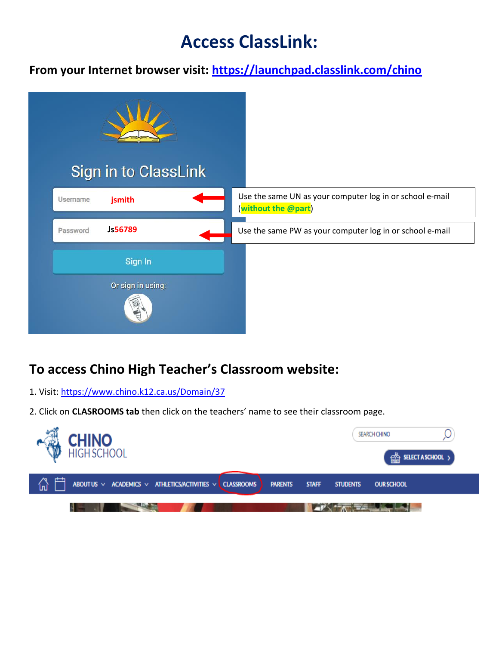## **Access ClassLink:**

**From your Internet browser visit:<https://launchpad.classlink.com/chino>**



#### **To access Chino High Teacher's Classroom website:**

- 1. Visit:<https://www.chino.k12.ca.us/Domain/37>
- 2. Click on **CLASROOMS tab** then click on the teachers' name to see their classroom page.

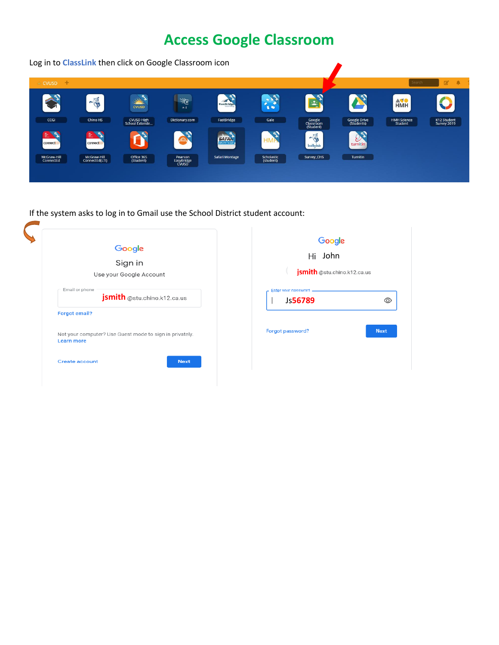### **Access Google Classroom**



If the system asks to log in to Gmail use the School District student account:

| Google<br>Sign in<br>Use your Google Account            | Google<br>John<br>Hi<br>jsmith @stu.chino.k12.ca.us |
|---------------------------------------------------------|-----------------------------------------------------|
| Email or phone                                          | Enter your password                                 |
| jsmith @stu.chino.k12.ca.us                             | Js56789                                             |
| <b>Forgot email?</b>                                    | ത                                                   |
| Not your computer? Use Guest mode to sign in privately. | Forgot password?                                    |
| <b>Learn more</b>                                       | <b>Next</b>                                         |
| <b>Next</b><br><b>Create account</b>                    |                                                     |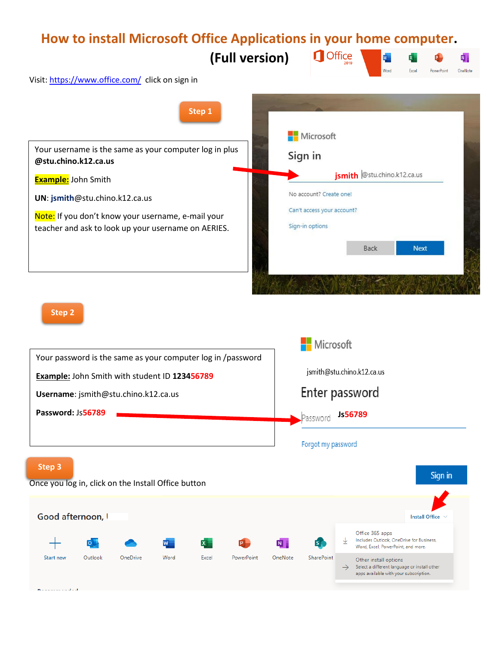### **How to install Microsoft Office Applications in your home computer.**

**(Full version)**



Visit[: https://www.office.com/](https://www.office.com/) click on sign in



**Step 2**